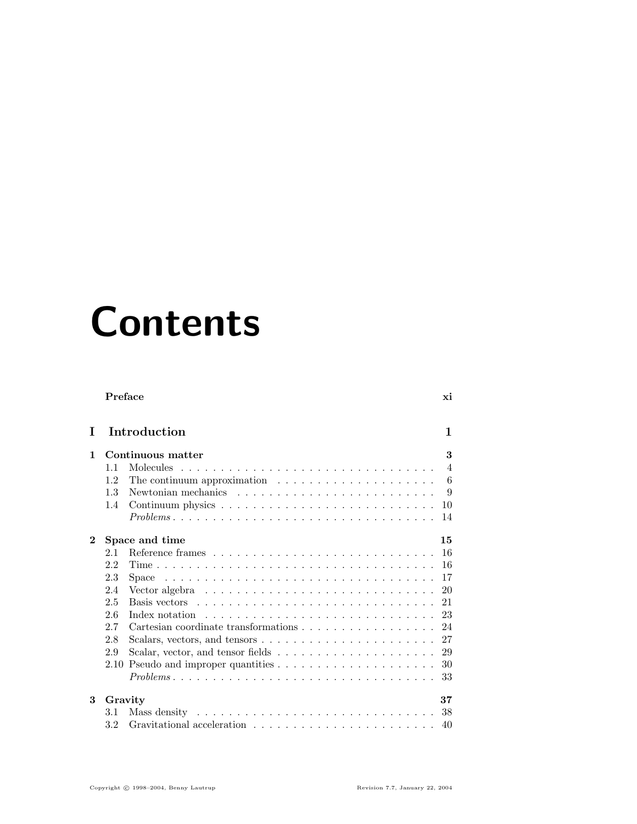## Contents

|              | Preface |                                                                                                | хi             |
|--------------|---------|------------------------------------------------------------------------------------------------|----------------|
| T            |         | Introduction                                                                                   | 1              |
| $\mathbf{1}$ |         | Continuous matter                                                                              | 3              |
|              | 11      | Molecules                                                                                      | $\overline{4}$ |
|              | 1.2     | The continuum approximation $\ldots \ldots \ldots \ldots \ldots \ldots$                        | 6              |
|              | 1.3     |                                                                                                | 9              |
|              | 1.4     |                                                                                                | 10             |
|              |         | $Problems \ldots \ldots \ldots \ldots \ldots \ldots \ldots \ldots \ldots \ldots \ldots \ldots$ | 14             |
| $\bf{2}$     |         | Space and time                                                                                 | 15             |
|              | 2.1     |                                                                                                | 16             |
|              | 2.2     |                                                                                                | 16             |
|              | 2.3     | Space                                                                                          | 17             |
|              | 2.4     | Vector algebra $\ldots \ldots \ldots \ldots \ldots \ldots \ldots \ldots \ldots$                | 20             |
|              | 2.5     |                                                                                                | 21             |
|              | 2.6     | Index notation                                                                                 | 23             |
|              | 2.7     | Cartesian coordinate transformations $\dots \dots \dots \dots \dots \dots$                     | 24             |
|              | 2.8     | Scalars, vectors, and tensors $\dots \dots \dots \dots \dots \dots \dots \dots$                | 27             |
|              | 2.9     |                                                                                                | 29             |
|              | 2.10    |                                                                                                | 30             |
|              |         | $Problems \dots \dots \dots \dots \dots \dots \dots \dots \dots \dots \dots \dots \dots \dots$ | 33             |
| 3            | Gravity |                                                                                                | 37             |
|              | 3.1     |                                                                                                | 38             |
|              | 3.2     |                                                                                                | 40             |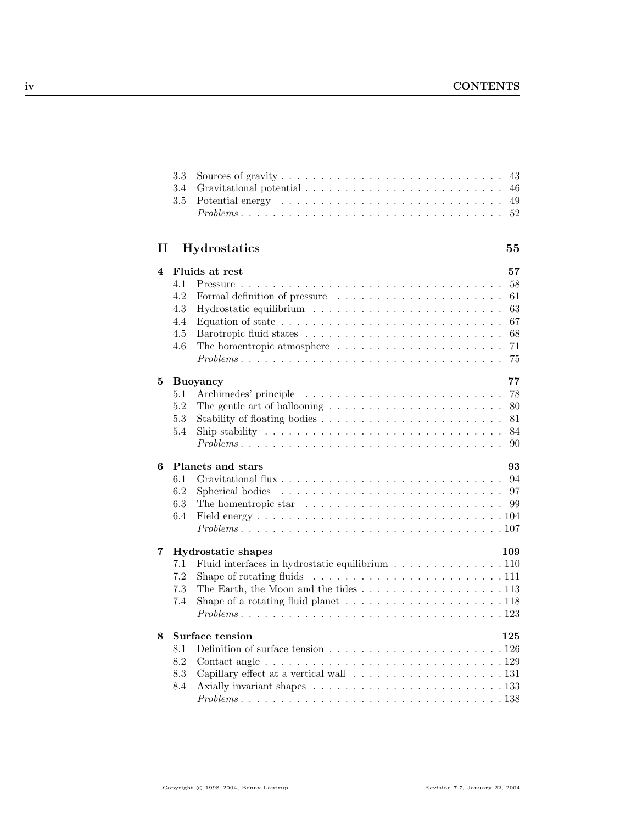|              | 3.3<br>3.4<br>3.5 | 43<br>46<br>49<br>$Problems \ldots \ldots \ldots \ldots \ldots \ldots \ldots \ldots \ldots \ldots \ldots \ldots$<br>52 |  |
|--------------|-------------------|------------------------------------------------------------------------------------------------------------------------|--|
| $\mathbf{I}$ |                   | <b>Hydrostatics</b><br>55                                                                                              |  |
| 4            |                   | Fluids at rest<br>57                                                                                                   |  |
|              | 4.1               | 58                                                                                                                     |  |
|              | 4.2               | Formal definition of pressure<br>61                                                                                    |  |
|              | 4.3               | 63                                                                                                                     |  |
|              | 4.4               | Equation of state $\dots \dots \dots \dots \dots \dots \dots \dots \dots \dots \dots$<br>67                            |  |
|              | 4.5               | 68                                                                                                                     |  |
|              | 4.6               | The homentropic atmosphere $\dots \dots \dots \dots \dots \dots \dots \dots$<br>71                                     |  |
|              |                   | 75<br>$Problems \ldots \ldots \ldots \ldots \ldots \ldots \ldots \ldots \ldots \ldots \ldots \ldots$                   |  |
| 5            |                   | 77<br><b>Buoyancy</b>                                                                                                  |  |
|              | 5.1               | 78                                                                                                                     |  |
|              | 5.2               | The gentle art of ballooning $\ldots \ldots \ldots \ldots \ldots \ldots \ldots$<br>80                                  |  |
|              | 5.3               | 81                                                                                                                     |  |
|              | 5.4               | 84<br>Ship stability $\dots \dots \dots \dots \dots \dots \dots \dots \dots \dots \dots \dots$                         |  |
|              |                   | $Problems \dots \dots \dots \dots \dots \dots \dots \dots \dots \dots \dots \dots \dots \dots$<br>90                   |  |
| 6            |                   | Planets and stars<br>93                                                                                                |  |
|              | 6.1               | Gravitational flux<br>94                                                                                               |  |
|              | 6.2               | Spherical bodies<br>97<br><u>. Kanadana ana kanadana ana kanadana ana kan</u>                                          |  |
|              | 6.3               | 99<br>The homentropic star $\dots \dots \dots \dots \dots \dots \dots \dots \dots$                                     |  |
|              | 6.4               |                                                                                                                        |  |
|              |                   | $Problems \ldots \ldots \ldots \ldots \ldots \ldots \ldots \ldots \ldots \ldots \ldots \ldots \ldots 107$              |  |
| 7            |                   | <b>Hydrostatic shapes</b><br>109                                                                                       |  |
|              | 7.1               | Fluid interfaces in hydrostatic equilibrium 110                                                                        |  |
|              | 7.2               | Shape of rotating fluids $\ldots \ldots \ldots \ldots \ldots \ldots \ldots \ldots 111$                                 |  |
|              | 7.3               | The Earth, the Moon and the tides $\dots \dots \dots \dots \dots \dots \dots \dots \dots 113$                          |  |
|              | 7.4               | Shape of a rotating fluid planet $\ldots \ldots \ldots \ldots \ldots \ldots \ldots 118$                                |  |
|              |                   | $Problems \ldots \ldots \ldots \ldots \ldots \ldots \ldots \ldots \ldots \ldots \ldots \ldots \ldots 123$              |  |
| 8            |                   | Surface tension<br>125                                                                                                 |  |
|              | 8.1               |                                                                                                                        |  |
|              | 8.2               |                                                                                                                        |  |
|              | 8.3               |                                                                                                                        |  |
|              | 8.4               |                                                                                                                        |  |
|              |                   | $Problems \ldots \ldots \ldots \ldots \ldots \ldots \ldots \ldots \ldots \ldots \ldots \ldots \ldots 138$              |  |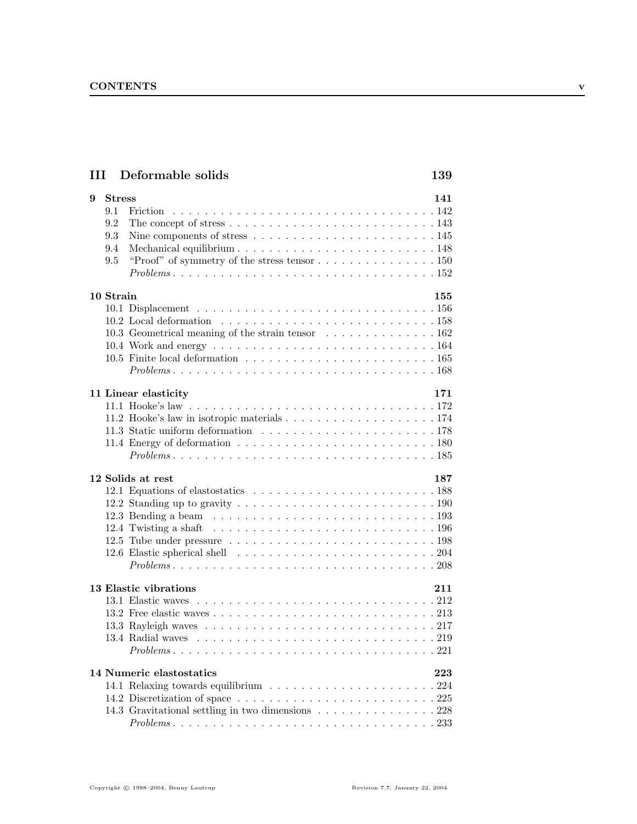| III Deformable solids                                                                                                                                                                                                                                                                                                                                              | 139        |
|--------------------------------------------------------------------------------------------------------------------------------------------------------------------------------------------------------------------------------------------------------------------------------------------------------------------------------------------------------------------|------------|
| <b>Stress</b><br>9<br>9.1<br>9.2<br>The concept of stress $\dots \dots \dots \dots \dots \dots \dots \dots \dots \dots \dots 143$<br>9.3<br>Nine components of stress $\dots \dots \dots \dots \dots \dots \dots \dots \dots \dots 145$<br>9.4<br>9.5<br>$Problems \ldots \ldots \ldots \ldots \ldots \ldots \ldots \ldots \ldots \ldots \ldots \ldots \ldots 152$ | 141        |
| 10 Strain<br>10.3 Geometrical meaning of the strain tensor 162<br>$Problems \ldots \ldots \ldots \ldots \ldots \ldots \ldots \ldots \ldots \ldots \ldots \ldots \ldots 168$                                                                                                                                                                                        | 155        |
| 11 Linear elasticity<br>$Problems \ldots \ldots \ldots \ldots \ldots \ldots \ldots \ldots \ldots \ldots \ldots \ldots \ldots 185$<br>12 Solids at rest<br>12.5 Tube under pressure $\ldots \ldots \ldots \ldots \ldots \ldots \ldots \ldots \ldots 198$<br>$Problems \ldots \ldots \ldots \ldots \ldots \ldots \ldots \ldots \ldots \ldots \ldots \ldots 208$      | 171<br>187 |
| 13 Elastic vibrations<br>14 Numeric elastostatics                                                                                                                                                                                                                                                                                                                  | 211<br>223 |
| 14.3 Gravitational settling in two dimensions 228<br>$Problems \ldots \ldots \ldots \ldots \ldots \ldots \ldots \ldots \ldots \ldots \ldots \ldots \ldots 233$                                                                                                                                                                                                     |            |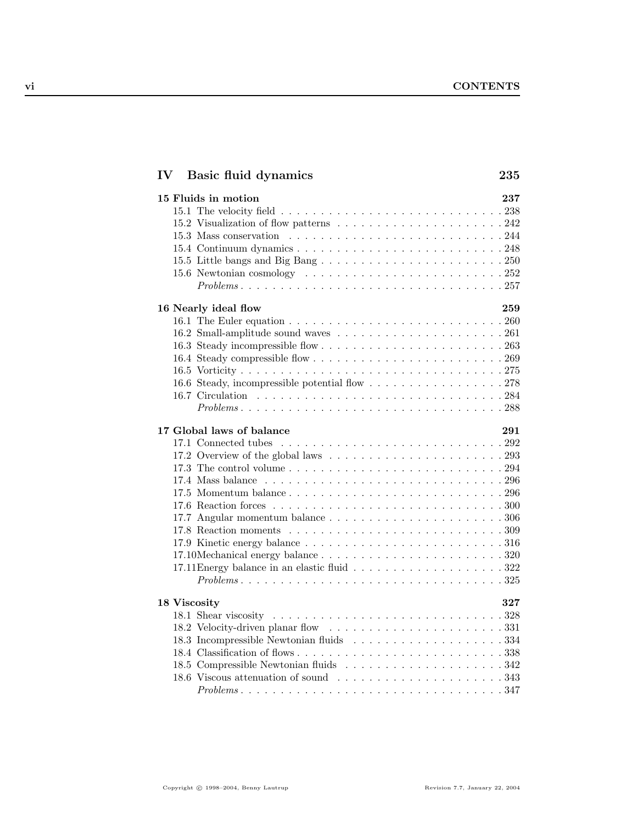| $\mathbf{IV}$<br>Basic fluid dynamics                                                                     | 235 |
|-----------------------------------------------------------------------------------------------------------|-----|
| 15 Fluids in motion                                                                                       | 237 |
|                                                                                                           |     |
|                                                                                                           |     |
|                                                                                                           |     |
|                                                                                                           |     |
|                                                                                                           |     |
|                                                                                                           |     |
| $Problems \ldots \ldots \ldots \ldots \ldots \ldots \ldots \ldots \ldots \ldots \ldots \ldots \ldots 257$ |     |
| 16 Nearly ideal flow                                                                                      | 259 |
|                                                                                                           |     |
|                                                                                                           |     |
|                                                                                                           |     |
|                                                                                                           |     |
|                                                                                                           |     |
|                                                                                                           |     |
|                                                                                                           |     |
|                                                                                                           |     |
| 17 Global laws of balance                                                                                 | 291 |
|                                                                                                           |     |
| 17.2 Overview of the global laws $\ldots \ldots \ldots \ldots \ldots \ldots \ldots 293$                   |     |
|                                                                                                           |     |
|                                                                                                           |     |
|                                                                                                           |     |
|                                                                                                           |     |
|                                                                                                           |     |
|                                                                                                           |     |
|                                                                                                           |     |
|                                                                                                           |     |
|                                                                                                           |     |
|                                                                                                           |     |
| 18 Viscosity                                                                                              | 327 |
|                                                                                                           |     |
|                                                                                                           |     |
|                                                                                                           |     |
|                                                                                                           |     |
|                                                                                                           |     |
|                                                                                                           |     |
|                                                                                                           |     |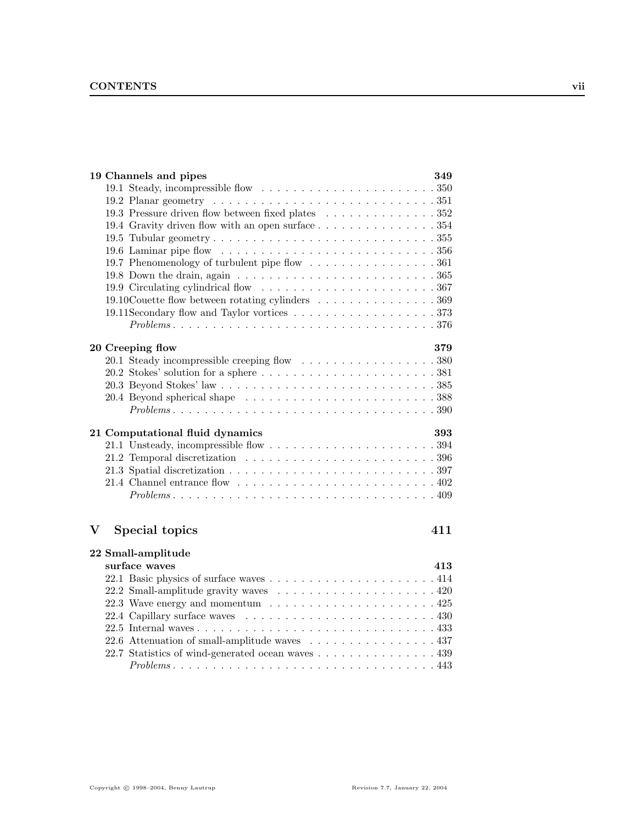| 19 Channels and pipes                                                                                                                               | 349 |
|-----------------------------------------------------------------------------------------------------------------------------------------------------|-----|
|                                                                                                                                                     |     |
| 19.2 Planar geometry $\ldots \ldots \ldots \ldots \ldots \ldots \ldots \ldots \ldots \ldots \ldots 351$                                             |     |
| 19.3 Pressure driven flow between fixed plates 352                                                                                                  |     |
| 19.4 Gravity driven flow with an open surface 354                                                                                                   |     |
|                                                                                                                                                     |     |
|                                                                                                                                                     |     |
| 19.7 Phenomenology of turbulent pipe flow 361                                                                                                       |     |
| 19.8 Down the drain, again $\ldots \ldots \ldots \ldots \ldots \ldots \ldots \ldots \ldots \ldots 365$                                              |     |
|                                                                                                                                                     |     |
| 19.10 Couette flow between rotating cylinders 369                                                                                                   |     |
|                                                                                                                                                     |     |
|                                                                                                                                                     |     |
|                                                                                                                                                     |     |
| 20 Creeping flow                                                                                                                                    | 379 |
|                                                                                                                                                     |     |
|                                                                                                                                                     |     |
|                                                                                                                                                     |     |
|                                                                                                                                                     |     |
|                                                                                                                                                     |     |
|                                                                                                                                                     |     |
|                                                                                                                                                     |     |
| 21 Computational fluid dynamics                                                                                                                     | 393 |
|                                                                                                                                                     |     |
|                                                                                                                                                     |     |
|                                                                                                                                                     |     |
| 21.4 Channel entrance flow $\ldots \ldots \ldots \ldots \ldots \ldots \ldots \ldots \ldots 402$                                                     |     |
|                                                                                                                                                     |     |
|                                                                                                                                                     |     |
| $\mathbf V$<br>Special topics                                                                                                                       | 411 |
|                                                                                                                                                     |     |
| 22 Small-amplitude                                                                                                                                  |     |
| surface waves                                                                                                                                       | 413 |
|                                                                                                                                                     |     |
|                                                                                                                                                     |     |
|                                                                                                                                                     |     |
|                                                                                                                                                     |     |
|                                                                                                                                                     |     |
| 22.6 Attenuation of small-amplitude waves 437                                                                                                       |     |
| 22.7 Statistics of wind-generated ocean waves 439<br>$Problems \ldots \ldots \ldots \ldots \ldots \ldots \ldots \ldots \ldots \ldots \ldots \ldots$ |     |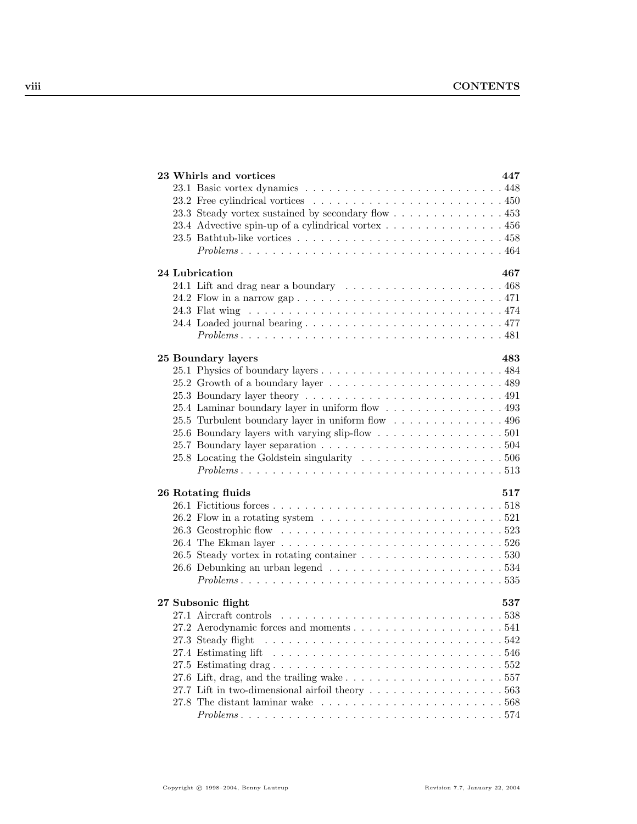| 23 Whirls and vortices                                                                                    | 447 |
|-----------------------------------------------------------------------------------------------------------|-----|
|                                                                                                           |     |
|                                                                                                           |     |
| 23.3 Steady vortex sustained by secondary flow 453                                                        |     |
| 23.4 Advective spin-up of a cylindrical vortex $\dots \dots \dots \dots \dots \dots$ 456                  |     |
|                                                                                                           |     |
|                                                                                                           |     |
| 24 Lubrication                                                                                            | 467 |
|                                                                                                           |     |
|                                                                                                           |     |
|                                                                                                           |     |
|                                                                                                           |     |
|                                                                                                           |     |
| 25 Boundary layers                                                                                        | 483 |
|                                                                                                           |     |
|                                                                                                           |     |
|                                                                                                           |     |
| 25.4 Laminar boundary layer in uniform flow 493                                                           |     |
| 25.5 Turbulent boundary layer in uniform flow 496                                                         |     |
| 25.6 Boundary layers with varying slip-flow 501                                                           |     |
|                                                                                                           |     |
| 25.8 Locating the Goldstein singularity $\ldots \ldots \ldots \ldots \ldots \ldots 506$                   |     |
| $Problems \ldots \ldots \ldots \ldots \ldots \ldots \ldots \ldots \ldots \ldots \ldots \ldots \ldots 513$ |     |
| 26 Rotating fluids                                                                                        | 517 |
|                                                                                                           |     |
| 26.2 Flow in a rotating system $\ldots \ldots \ldots \ldots \ldots \ldots \ldots 521$                     |     |
|                                                                                                           |     |
|                                                                                                           |     |
|                                                                                                           |     |
|                                                                                                           |     |
| $Problems \ldots \ldots \ldots \ldots \ldots \ldots \ldots \ldots \ldots \ldots \ldots \ldots \ldots 535$ |     |
|                                                                                                           |     |
| 27 Subsonic flight                                                                                        | 537 |
|                                                                                                           |     |
|                                                                                                           |     |
| 27.3 Steady flight                                                                                        |     |
|                                                                                                           |     |
|                                                                                                           |     |
| 27.6 Lift, drag, and the trailing wake $\ldots \ldots \ldots \ldots \ldots \ldots \ldots 557$             |     |
| 27.7 Lift in two-dimensional airfoil theory $\dots \dots \dots \dots \dots \dots \dots \dots 563$         |     |
| 27.8 The distant laminar wake $\ldots \ldots \ldots \ldots \ldots \ldots \ldots \ldots 568$               |     |
| $Problems \ldots \ldots \ldots \ldots \ldots \ldots \ldots \ldots \ldots \ldots \ldots \ldots 574$        |     |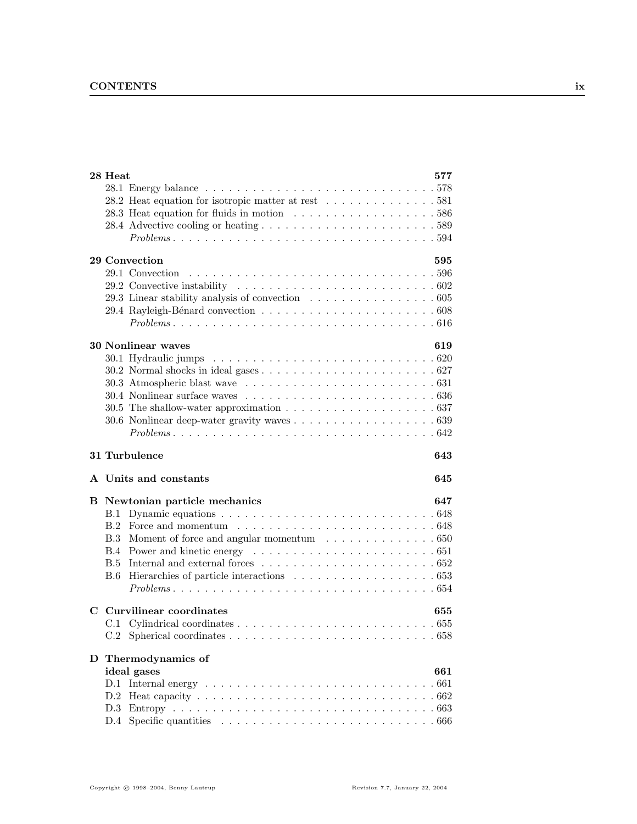|             | 28 Heat                                                                                                  | 577 |
|-------------|----------------------------------------------------------------------------------------------------------|-----|
|             |                                                                                                          |     |
|             | 28.2 Heat equation for isotropic matter at rest 581                                                      |     |
|             |                                                                                                          |     |
|             |                                                                                                          |     |
|             |                                                                                                          |     |
|             |                                                                                                          |     |
|             | 29 Convection                                                                                            | 595 |
|             |                                                                                                          |     |
|             |                                                                                                          |     |
|             | 29.3 Linear stability analysis of convection 605                                                         |     |
|             |                                                                                                          |     |
|             |                                                                                                          |     |
|             | <b>30 Nonlinear waves</b>                                                                                | 619 |
|             |                                                                                                          |     |
|             |                                                                                                          |     |
|             |                                                                                                          |     |
|             |                                                                                                          |     |
|             | 30.5 The shallow-water approximation $\ldots \ldots \ldots \ldots \ldots \ldots \ldots 637$              |     |
|             |                                                                                                          |     |
|             |                                                                                                          |     |
|             |                                                                                                          |     |
|             | 31 Turbulence                                                                                            | 643 |
|             | A Units and constants                                                                                    | 645 |
| B           | Newtonian particle mechanics                                                                             | 647 |
|             | B.1                                                                                                      |     |
|             | Force and momentum $\ldots \ldots \ldots \ldots \ldots \ldots \ldots \ldots \ldots 648$<br>B.2           |     |
|             | B.3<br>Moment of force and angular momentum $\dots \dots \dots \dots \dots \dots$ 650                    |     |
|             | <b>B.4</b>                                                                                               |     |
|             | B.5<br>Internal and external forces $\ldots \ldots \ldots \ldots \ldots \ldots \ldots \ldots \ldots 652$ |     |
|             | B.6                                                                                                      |     |
|             |                                                                                                          |     |
|             |                                                                                                          |     |
| $\mathbf C$ | Curvilinear coordinates                                                                                  | 655 |
|             | C.1                                                                                                      |     |
|             |                                                                                                          |     |
|             | D Thermodynamics of                                                                                      |     |
|             | ideal gases                                                                                              | 661 |
|             | D.1 Internal energy $\ldots \ldots \ldots \ldots \ldots \ldots \ldots \ldots \ldots$<br>.661             |     |
|             |                                                                                                          |     |
|             | D.2                                                                                                      |     |
|             | Heat capacity $\ldots \ldots \ldots \ldots \ldots \ldots \ldots \ldots \ldots \ldots \ldots \ldots 662$  |     |
|             | D.3                                                                                                      |     |